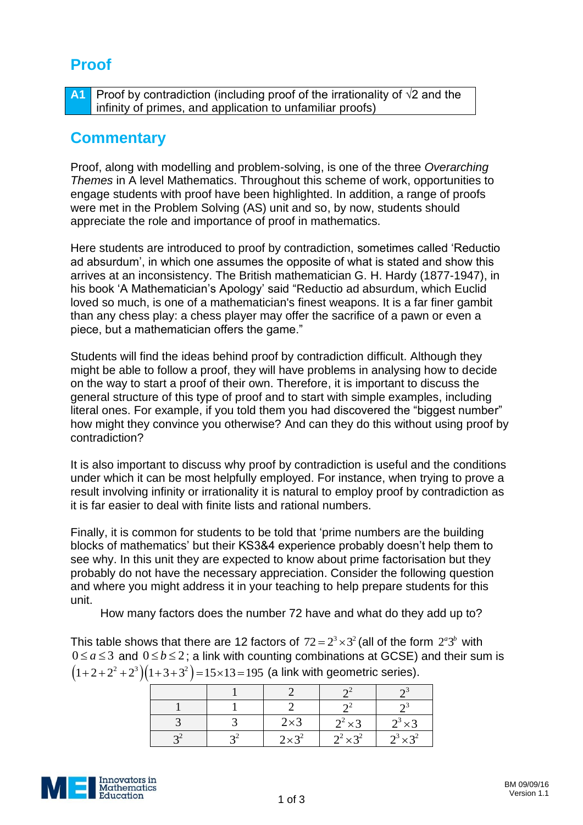## **Proof**

**A1** Proof by contradiction (including proof of the irrationality of √2 and the infinity of primes, and application to unfamiliar proofs)

## **Commentary**

Proof, along with modelling and problem-solving, is one of the three *Overarching Themes* in A level Mathematics. Throughout this scheme of work, opportunities to engage students with proof have been highlighted. In addition, a range of proofs were met in the Problem Solving (AS) unit and so, by now, students should appreciate the role and importance of proof in mathematics.

Here students are introduced to proof by contradiction, sometimes called 'Reductio ad absurdum', in which one assumes the opposite of what is stated and show this arrives at an inconsistency. The British mathematician G. H. Hardy (1877-1947), in his book 'A Mathematician's Apology' said "Reductio ad absurdum, which Euclid loved so much, is one of a mathematician's finest weapons. It is a far finer gambit than any chess play: a chess player may offer the sacrifice of a pawn or even a piece, but a mathematician offers the game."

Students will find the ideas behind proof by contradiction difficult. Although they might be able to follow a proof, they will have problems in analysing how to decide on the way to start a proof of their own. Therefore, it is important to discuss the general structure of this type of proof and to start with simple examples, including literal ones. For example, if you told them you had discovered the "biggest number" how might they convince you otherwise? And can they do this without using proof by contradiction?

It is also important to discuss why proof by contradiction is useful and the conditions under which it can be most helpfully employed. For instance, when trying to prove a result involving infinity or irrationality it is natural to employ proof by contradiction as it is far easier to deal with finite lists and rational numbers.

Finally, it is common for students to be told that 'prime numbers are the building blocks of mathematics' but their KS3&4 experience probably doesn't help them to see why. In this unit they are expected to know about prime factorisation but they probably do not have the necessary appreciation. Consider the following question and where you might address it in your teaching to help prepare students for this unit.

How many factors does the number 72 have and what do they add up to?

This table shows that there are 12 factors of  $72 = 2^3 \times 3^2$  (all of the form  $2^a 3^b$  with  $0 \le a \le 3$  and  $0 \le b \le 2$ ; a link with counting combinations at GCSE) and their sum is  $(1+2+2^2+2^3)(1+3+3^2)=15\times13=195$  (a link with geometric series).

|  | $2\times3$   | $2^2 \times 3$   | $2^3 \times 3$   |
|--|--------------|------------------|------------------|
|  | $2\times3^2$ | $2^2 \times 3^2$ | $2^3 \times 3^2$ |

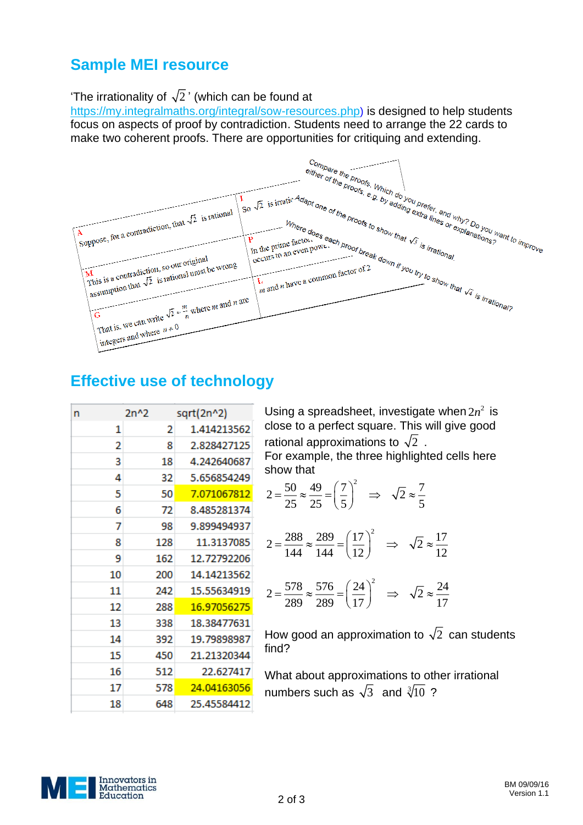## **Sample MEI resource**

The irrationality of  $\sqrt{2}$ ' (which can be found at

<https://my.integralmaths.org/integral/sow-resources.php>) is designed to help students focus on aspects of proof by contradiction. Students need to arrange the 22 cards to make two coherent proofs. There are opportunities for critiquing and extending.



## **Effective use of technology**

| n  | 2n^2 | sqrt(2n^2)  |
|----|------|-------------|
| 1  | 2    | 1.414213562 |
| 2  | 8    | 2.828427125 |
| 3  | 18   | 4.242640687 |
| 4  | 32   | 5.656854249 |
| 5  | 50   | 7.071067812 |
| 6  | 72   | 8.485281374 |
| 7  | 98   | 9.899494937 |
| 8  | 128  | 11.3137085  |
| 9  | 162  | 12.72792206 |
| 10 | 200  | 14.14213562 |
| 11 | 242  | 15.55634919 |
| 12 | 288  | 16.97056275 |
| 13 | 338  | 18.38477631 |
| 14 | 392  | 19.79898987 |
| 15 | 450  | 21.21320344 |
| 16 | 512  | 22.627417   |
| 17 | 578  | 24.04163056 |
| 18 | 648  | 25.45584412 |

Using a spreadsheet, investigate when  $2n^2$  is close to a perfect square. This will give good rational approximations to  $\sqrt{2}$  .

For example, the three highlighted cells here show that

$$
2 = \frac{50}{25} \approx \frac{49}{25} = \left(\frac{7}{5}\right)^2 \implies \sqrt{2} \approx \frac{7}{5}
$$

$$
2 = \frac{288}{144} \approx \frac{289}{144} = \left(\frac{17}{12}\right)^2 \implies \sqrt{2} \approx \frac{17}{12}
$$

$$
2 = \frac{578}{289} \approx \frac{576}{289} = \left(\frac{24}{17}\right)^2 \implies \sqrt{2} \approx \frac{24}{17}
$$

How good an approximation to  $\sqrt{2}$  can students find?

What about approximations to other irrational numbers such as  $\sqrt{3}$  and  $\sqrt[3]{10}$ ?